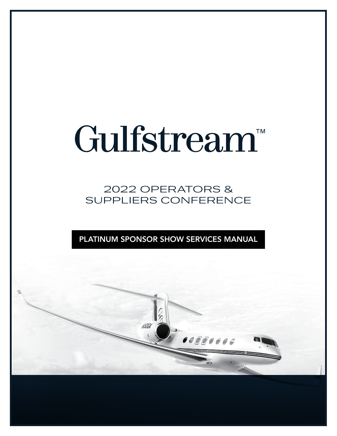# Gulfstream<sup>™</sup>

2022 OPERATORS & SUPPLIERS CONFERENCE

PLATINUM SPONSOR SHOW SERVICES MANUAL

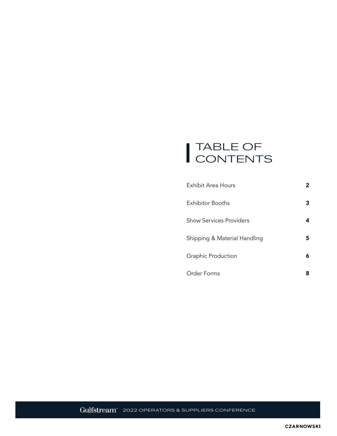### TABLE OF CONTENTS

| <b>Exhibit Area Hours</b>    | 2 |
|------------------------------|---|
| <b>Exhibitor Booths</b>      | 3 |
| Show Services Providers      | 4 |
| Shipping & Material Handling | 5 |
| Graphic Production           | 6 |
| <b>Order Forms</b>           | 8 |

Gulfstream" 2022 OPERATORS & SUPPLIERS CONFERENCE

**CZARNOWSKI**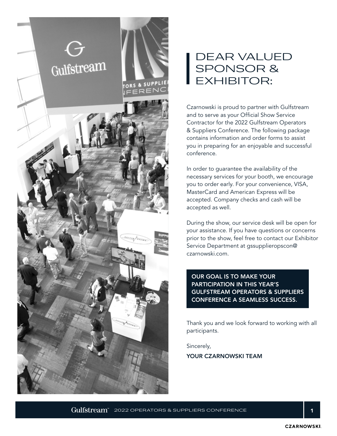

### DEAR VALUED SPONSOR & EXHIBITOR:

Czarnowski is proud to partner with Gulfstream and to serve as your Official Show Service Contractor for the 2022 Gulfstream Operators & Suppliers Conference. The following package contains information and order forms to assist you in preparing for an enjoyable and successful conference.

In order to guarantee the availability of the necessary services for your booth, we encourage you to order early. For your convenience, VISA, MasterCard and American Express will be accepted. Company checks and cash will be accepted as well.

During the show, our service desk will be open for your assistance. If you have questions or concerns prior to the show, feel free to contact our Exhibitor Service Department at gssupplieropscon@ czarnowski.com.

OUR GOAL IS TO MAKE YOUR PARTICIPATION IN THIS YEAR'S GULFSTREAM OPERATORS & SUPPLIERS CONFERENCE A SEAMLESS SUCCESS.

Thank you and we look forward to working with all participants.

Sincerely,

YOUR CZARNOWSKI TEAM

 $\rm{Gulfstream}^{\ast}$  2022 OPERATORS & SUPPLIERS CONFERENCE  $\rm{1.1}$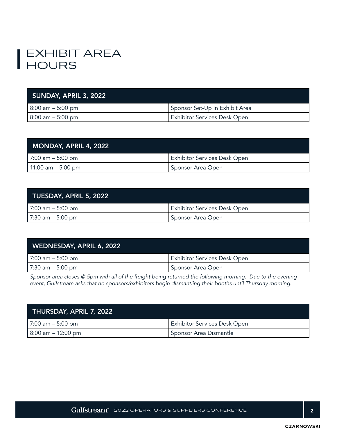### EXHIBIT AREA **HOURS**

| SUNDAY, APRIL 3, 2022 |                                |
|-----------------------|--------------------------------|
| 8:00 am – 5:00 pm     | Sponsor Set-Up In Exhibit Area |
| l 8:00 am – 5:00 pm   | Exhibitor Services Desk Open   |

| MONDAY, APRIL 4, 2022 |                              |
|-----------------------|------------------------------|
| 7:00 am – 5:00 pm     | Exhibitor Services Desk Open |
| 11:00 am – 5:00 pm    | Sponsor Area Open            |

| TUESDAY, APRIL 5, 2022 |                                     |
|------------------------|-------------------------------------|
| 7:00 am $-$ 5:00 pm    | <b>Exhibitor Services Desk Open</b> |
| 7:30 am – 5:00 pm      | Sponsor Area Open                   |

| WEDNESDAY, APRIL 6, 2022 |                                     |
|--------------------------|-------------------------------------|
| 7:00 am – 5:00 pm        | <b>Exhibitor Services Desk Open</b> |
| l 7:30 am – 5:00 pm      | Sponsor Area Open                   |

*Sponsor area closes @ 5pm with all of the freight being returned the following morning. Due to the evening event, Gulfstream asks that no sponsors/exhibitors begin dismantling their booths until Thursday morning.*

| THURSDAY, APRIL 7, 2022 |                                     |
|-------------------------|-------------------------------------|
| 7:00 am – 5:00 pm       | <b>Exhibitor Services Desk Open</b> |
| $8:00$ am $-12:00$ pm   | Sponsor Area Dismantle              |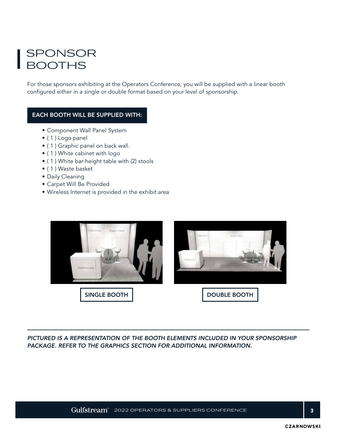### SPONSOR **BOOTHS**

For those sponsors exhibiting at the Operators Conference, you will be supplied with a linear booth configured either in a single or double format based on your level of sponsorship.

#### EACH BOOTH WILL BE SUPPLIED WITH:

- Component Wall Panel System
- ( 1 ) Logo panel
- ( 1 ) Graphic panel on back wall.
- ( 1 ) White cabinet with logo
- ( 1 ) White bar-height table with (2) stools
- ( 1 ) Waste basket
- Daily Cleaning
- Carpet Will Be Provided
- Wireless Internet is provided in the exhibit area



*PICTURED IS A REPRESENTATION OF THE BOOTH ELEMENTS INCLUDED IN YOUR SPONSORSHIP PACKAGE. REFER TO THE GRAPHICS SECTION FOR ADDITIONAL INFORMATION.*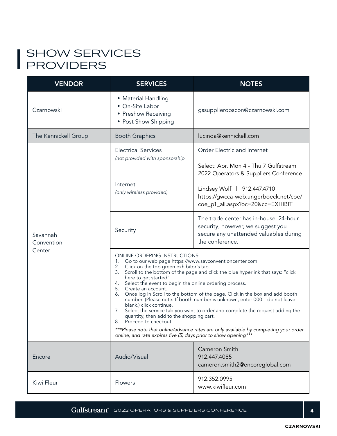### SHOW SERVICES PROVIDERS

| <b>VENDOR</b>          | <b>SERVICES</b>                                                                                                                                                                                                                                                                                                                                                                                                                                                                                                                                                                                                                                                                                                                   | <b>NOTES</b>                                                                                                                             |  |  |
|------------------------|-----------------------------------------------------------------------------------------------------------------------------------------------------------------------------------------------------------------------------------------------------------------------------------------------------------------------------------------------------------------------------------------------------------------------------------------------------------------------------------------------------------------------------------------------------------------------------------------------------------------------------------------------------------------------------------------------------------------------------------|------------------------------------------------------------------------------------------------------------------------------------------|--|--|
| Czarnowski             | • Material Handling<br>• On-Site Labor<br>• Preshow Receiving<br>• Post Show Shipping                                                                                                                                                                                                                                                                                                                                                                                                                                                                                                                                                                                                                                             | gssupplieropscon@czarnowski.com                                                                                                          |  |  |
| The Kennickell Group   | <b>Booth Graphics</b>                                                                                                                                                                                                                                                                                                                                                                                                                                                                                                                                                                                                                                                                                                             | lucinda@kennickell.com                                                                                                                   |  |  |
|                        | <b>Electrical Services</b><br>(not provided with sponsorship                                                                                                                                                                                                                                                                                                                                                                                                                                                                                                                                                                                                                                                                      | Order Electric and Internet                                                                                                              |  |  |
|                        |                                                                                                                                                                                                                                                                                                                                                                                                                                                                                                                                                                                                                                                                                                                                   | Select: Apr. Mon 4 - Thu 7 Gulfstream<br>2022 Operators & Suppliers Conference                                                           |  |  |
|                        | Internet<br>(only wireless provided)                                                                                                                                                                                                                                                                                                                                                                                                                                                                                                                                                                                                                                                                                              | Lindsey Wolf   912.447.4710<br>https://gwcca-web.ungerboeck.net/coe/<br>coe_p1_all.aspx?oc=20&cc=EXHIBIT                                 |  |  |
| Savannah<br>Convention | Security                                                                                                                                                                                                                                                                                                                                                                                                                                                                                                                                                                                                                                                                                                                          | The trade center has in-house, 24-hour<br>security; however, we suggest you<br>secure any unattended valuables during<br>the conference. |  |  |
| Center                 | <b>ONLINE ORDERING INSTRUCTIONS:</b><br>1.<br>Go to our web page https://www.savconventioncenter.com<br>Click on the top green exhibitor's tab.<br>2.<br>Scroll to the bottom of the page and click the blue hyperlink that says: "click<br>3.<br>here to get started"<br>Select the event to begin the online ordering process.<br>4.<br>5.<br>Create an account.<br>Once log in Scroll to the bottom of the page. Click in the box and add booth<br>6.<br>number. (Please note: If booth number is unknown, enter 000 - do not leave<br>blank.) click continue.<br>7.<br>Select the service tab you want to order and complete the request adding the<br>quantity, then add to the shopping cart.<br>Proceed to checkout.<br>8. |                                                                                                                                          |  |  |
|                        | ***Please note that online/advance rates are only available by completing your order<br>online, and rate expires five (5) days prior to show opening***                                                                                                                                                                                                                                                                                                                                                                                                                                                                                                                                                                           |                                                                                                                                          |  |  |
| Encore                 | Audio/Visual                                                                                                                                                                                                                                                                                                                                                                                                                                                                                                                                                                                                                                                                                                                      | Cameron Smith<br>912.447.4085<br>cameron.smith2@encoreglobal.com                                                                         |  |  |
| Kiwi Fleur             | Flowers                                                                                                                                                                                                                                                                                                                                                                                                                                                                                                                                                                                                                                                                                                                           | 912.352.0995<br>www.kiwifleur.com                                                                                                        |  |  |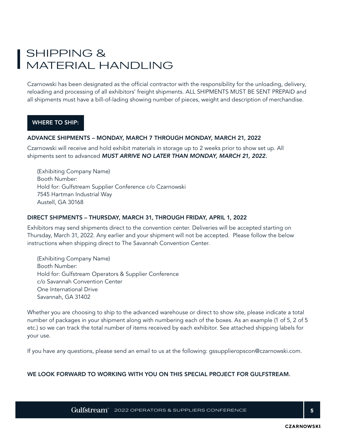### SHIPPING & MATERIAL HANDLING

Czarnowski has been designated as the official contractor with the responsibility for the unloading, delivery, reloading and processing of all exhibitors' freight shipments. ALL SHIPMENTS MUST BE SENT PREPAID and all shipments must have a bill-of-lading showing number of pieces, weight and description of merchandise.

#### WHERE TO SHIP:

#### ADVANCE SHIPMENTS – MONDAY, MARCH 7 THROUGH MONDAY, MARCH 21, 2022

Czarnowski will receive and hold exhibit materials in storage up to 2 weeks prior to show set up. All shipments sent to advanced *MUST ARRIVE NO LATER THAN MONDAY, MARCH 21, 2022.*

(Exhibiting Company Name) Booth Number: Hold for: Gulfstream Supplier Conference c/o Czarnowski 7545 Hartman Industrial Way Austell, GA 30168

#### DIRECT SHIPMENTS – THURSDAY, MARCH 31, THROUGH FRIDAY, APRIL 1, 2022

Exhibitors may send shipments direct to the convention center. Deliveries will be accepted starting on Thursday, March 31, 2022. Any earlier and your shipment will not be accepted. Please follow the below instructions when shipping direct to The Savannah Convention Center.

(Exhibiting Company Name) Booth Number: Hold for: Gulfstream Operators & Supplier Conference c/o Savannah Convention Center One International Drive Savannah, GA 31402

Whether you are choosing to ship to the advanced warehouse or direct to show site, please indicate a total number of packages in your shipment along with numbering each of the boxes. As an example (1 of 5, 2 of 5 etc.) so we can track the total number of items received by each exhibitor. See attached shipping labels for your use.

If you have any questions, please send an email to us at the following: gssupplieropscon@czarnowski.com.

#### WE LOOK FORWARD TO WORKING WITH YOU ON THIS SPECIAL PROJECT FOR GULFSTREAM.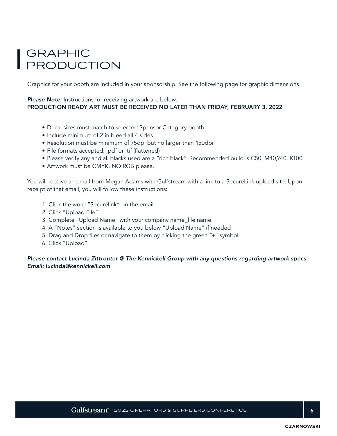### GRAPHIC PRODUCTION

Graphics for your booth are included in your sponsorship. See the following page for graphic dimensions.

#### **Please Note:** Instructions for receiving artwork are below. PRODUCTION READY ART MUST BE RECEIVED NO LATER THAN FRIDAY, FEBRUARY 3, 2022

- Decal sizes must match to selected Sponsor Category booth
- Include minimum of 2 in bleed all 4 sides
- Resolution must be minimum of 75dpi but no larger than 150dpi
- File formats accepted: .pdf or .tif (flattened)
- Please verify any and all blacks used are a "rich black". Recommended build is C50, M40,Y40, K100.
- Artwork must be CMYK. NO RGB please.

You will receive an email from Megan Adams with Gulfstream with a link to a SecureLink upload site. Upon receipt of that email, you will follow these instructions:

- 1. Click the word "Securelink" on the email
- 2. Click "Upload File"
- 3. Complete "Upload Name" with your company name\_file name
- 4. A "Notes" section is available to you below "Upload Name" if needed
- 5. Drag and Drop files or navigate to them by clicking the green "+" symbol
- 6. Click "Upload"

*Please contact Lucinda Zittrouter @ The Kennickell Group with any questions regarding artwork specs. Email: lucinda@kennickell.com*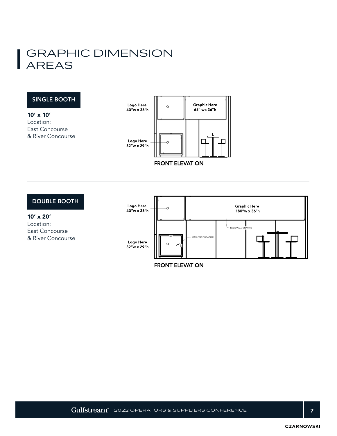### GRAPHIC DIMENSION AREAS

#### SINGLE BOOTH

10' x 10' Location: East Concourse & River Concourse



#### DOUBLE BOOTH

10' x 20' Location: East Concourse & River Concourse



**FRONT ELEVATION**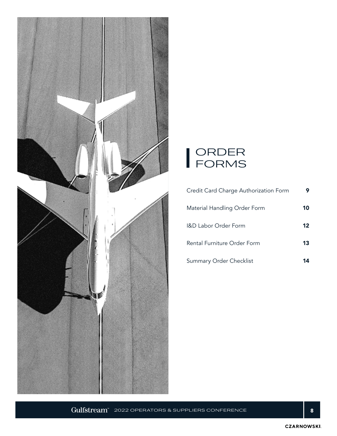



| Credit Card Charge Authorization Form |         |
|---------------------------------------|---------|
| Material Handling Order Form          | 10      |
| <b>I&amp;D Labor Order Form</b>       | $12 \,$ |
| Rental Furniture Order Form           | 13      |
| <b>Summary Order Checklist</b>        |         |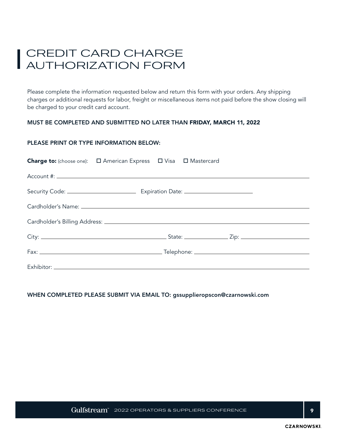### CREDIT CARD CHARGE AUTHORIZATION FORM

Please complete the information requested below and return this form with your orders. Any shipping charges or additional requests for labor, freight or miscellaneous items not paid before the show closing will be charged to your credit card account.

#### MUST BE COMPLETED AND SUBMITTED NO LATER THAN FRIDAY, MARCH 11, 2022

#### PLEASE PRINT OR TYPE INFORMATION BELOW:

| Charge to: (choose one): $\Box$ American Express $\Box$ Visa $\Box$ Mastercard |  |  |
|--------------------------------------------------------------------------------|--|--|
|                                                                                |  |  |
|                                                                                |  |  |
|                                                                                |  |  |
|                                                                                |  |  |
|                                                                                |  |  |
|                                                                                |  |  |
|                                                                                |  |  |

#### WHEN COMPLETED PLEASE SUBMIT VIA EMAIL TO: gssupplieropscon@czarnowski.com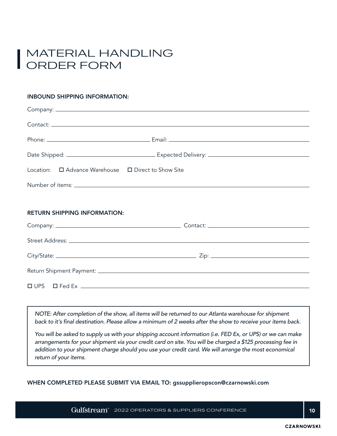### MATERIAL HANDLING ORDER FORM

#### INBOUND SHIPPING INFORMATION:

| Location: □ Advance Warehouse □ Direct to Show Site |                                                                  |
|-----------------------------------------------------|------------------------------------------------------------------|
|                                                     |                                                                  |
|                                                     |                                                                  |
| <b>RETURN SHIPPING INFORMATION:</b>                 |                                                                  |
|                                                     |                                                                  |
|                                                     |                                                                  |
|                                                     |                                                                  |
|                                                     |                                                                  |
|                                                     | $\Box \text{ UPS} \qquad \Box \text{ Fed Ex} \qquad \qquad \Box$ |
|                                                     |                                                                  |

*NOTE: After completion of the show, all items will be returned to our Atlanta warehouse for shipment back to it's final destination. Please allow a minimum of 2 weeks after the show to receive your items back.*

*You will be asked to supply us with your shipping account information (i.e. FED Ex, or UPS) or we can make arrangements for your shipment via your credit card on site. You will be charged a \$125 processing fee in addition to your shipment charge should you use your credit card. We will arrange the most economical return of your items.*

WHEN COMPLETED PLEASE SUBMIT VIA EMAIL TO: gssupplieropscon@czarnowski.com

 $Gulfstream^*$  2022 OPERATORS & SUPPLIERS CONFERENCE  $|10$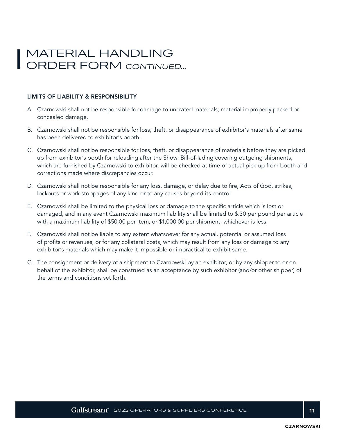### MATERIAL HANDLING ORDER FORM CONTINUED...

#### LIMITS OF LIABILITY & RESPONSIBILITY

- A. Czarnowski shall not be responsible for damage to uncrated materials; material improperly packed or concealed damage.
- B. Czarnowski shall not be responsible for loss, theft, or disappearance of exhibitor's materials after same has been delivered to exhibitor's booth.
- C. Czarnowski shall not be responsible for loss, theft, or disappearance of materials before they are picked up from exhibitor's booth for reloading after the Show. Bill-of-lading covering outgoing shipments, which are furnished by Czarnowski to exhibitor, will be checked at time of actual pick-up from booth and corrections made where discrepancies occur.
- D. Czarnowski shall not be responsible for any loss, damage, or delay due to fire, Acts of God, strikes, lockouts or work stoppages of any kind or to any causes beyond its control.
- E. Czarnowski shall be limited to the physical loss or damage to the specific article which is lost or damaged, and in any event Czarnowski maximum liability shall be limited to \$.30 per pound per article with a maximum liability of \$50.00 per item, or \$1,000.00 per shipment, whichever is less.
- F. Czarnowski shall not be liable to any extent whatsoever for any actual, potential or assumed loss of profits or revenues, or for any collateral costs, which may result from any loss or damage to any exhibitor's materials which may make it impossible or impractical to exhibit same.
- G. The consignment or delivery of a shipment to Czarnowski by an exhibitor, or by any shipper to or on behalf of the exhibitor, shall be construed as an acceptance by such exhibitor (and/or other shipper) of the terms and conditions set forth.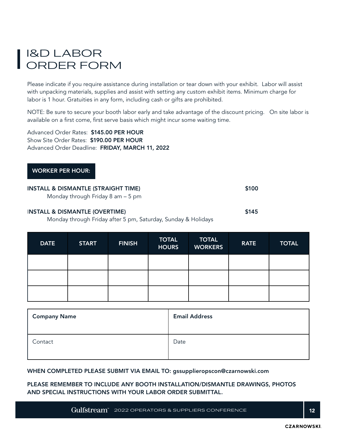### I&D LABOR ORDER FORM

Please indicate if you require assistance during installation or tear down with your exhibit. Labor will assist with unpacking materials, supplies and assist with setting any custom exhibit items. Minimum charge for labor is 1 hour. Gratuities in any form, including cash or gifts are prohibited.

NOTE: Be sure to secure your booth labor early and take advantage of the discount pricing. On site labor is available on a first come, first serve basis which might incur some waiting time.

Advanced Order Rates: \$145.00 PER HOUR Show Site Order Rates: \$190.00 PER HOUR Advanced Order Deadline: FRIDAY, MARCH 11, 2022

#### WORKER PER HOUR:

| <b>INSTALL &amp; DISMANTLE (STRAIGHT TIME)</b><br>Monday through Friday 8 am $-5$ pm |       |
|--------------------------------------------------------------------------------------|-------|
| <b>INSTALL &amp; DISMANTLE (OVERTIME)</b>                                            | \$145 |

Monday through Friday after 5 pm, Saturday, Sunday & Holidays

| <b>DATE</b> | <b>START</b> | <b>FINISH</b> | <b>TOTAL</b><br><b>HOURS</b> | <b>TOTAL</b><br><b>WORKERS</b> | <b>RATE</b> | <b>TOTAL</b> |
|-------------|--------------|---------------|------------------------------|--------------------------------|-------------|--------------|
|             |              |               |                              |                                |             |              |
|             |              |               |                              |                                |             |              |
|             |              |               |                              |                                |             |              |

| <b>Company Name</b> | <b>Email Address</b> |
|---------------------|----------------------|
| Contact             | Date                 |

#### WHEN COMPLETED PLEASE SUBMIT VIA EMAIL TO: gssupplieropscon@czarnowski.com

PLEASE REMEMBER TO INCLUDE ANY BOOTH INSTALLATION/DISMANTLE DRAWINGS, PHOTOS AND SPECIAL INSTRUCTIONS WITH YOUR LABOR ORDER SUBMITTAL.

 $\rm \, Gullistream^{\circ} \,$  2022 OPERATORS & SUPPLIERS CONFERENCE  $\rm \, 12$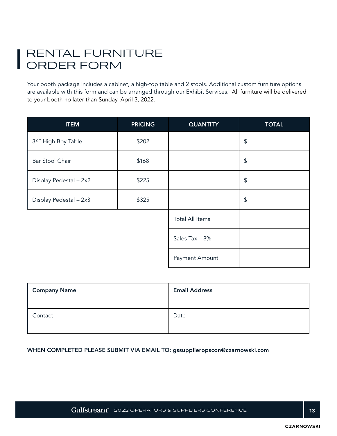### RENTAL FURNITURE ORDER FORM

Your booth package includes a cabinet, a high-top table and 2 stools. Additional custom furniture options are available with this form and can be arranged through our Exhibit Services. All furniture will be delivered to your booth no later than Sunday, April 3, 2022.

| <b>ITEM</b>            | <b>PRICING</b> | <b>QUANTITY</b>        | <b>TOTAL</b>     |
|------------------------|----------------|------------------------|------------------|
| 36" High Boy Table     | \$202          |                        | \$               |
| <b>Bar Stool Chair</b> | \$168          |                        | \$               |
| Display Pedestal - 2x2 | \$225          |                        | $$\mathfrak{s}$$ |
| Display Pedestal - 2x3 | \$325          |                        | \$               |
|                        |                | <b>Total All Items</b> |                  |
|                        |                | Sales Tax - 8%         |                  |
|                        |                | Payment Amount         |                  |

| <b>Company Name</b> | <b>Email Address</b> |
|---------------------|----------------------|
| Contact             | Date                 |

#### WHEN COMPLETED PLEASE SUBMIT VIA EMAIL TO: gssupplieropscon@czarnowski.com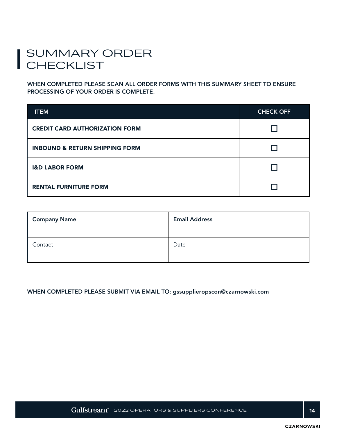### SUMMARY ORDER CHECKLIST

WHEN COMPLETED PLEASE SCAN ALL ORDER FORMS WITH THIS SUMMARY SHEET TO ENSURE PROCESSING OF YOUR ORDER IS COMPLETE.

| <b>ITEM</b>                               | <b>CHECK OFF</b> |
|-------------------------------------------|------------------|
| <b>CREDIT CARD AUTHORIZATION FORM</b>     |                  |
| <b>INBOUND &amp; RETURN SHIPPING FORM</b> |                  |
| <b>I&amp;D LABOR FORM</b>                 |                  |
| <b>RENTAL FURNITURE FORM</b>              |                  |

| <b>Company Name</b> | <b>Email Address</b> |
|---------------------|----------------------|
| Contact             | Date                 |

#### WHEN COMPLETED PLEASE SUBMIT VIA EMAIL TO: gssupplieropscon@czarnowski.com